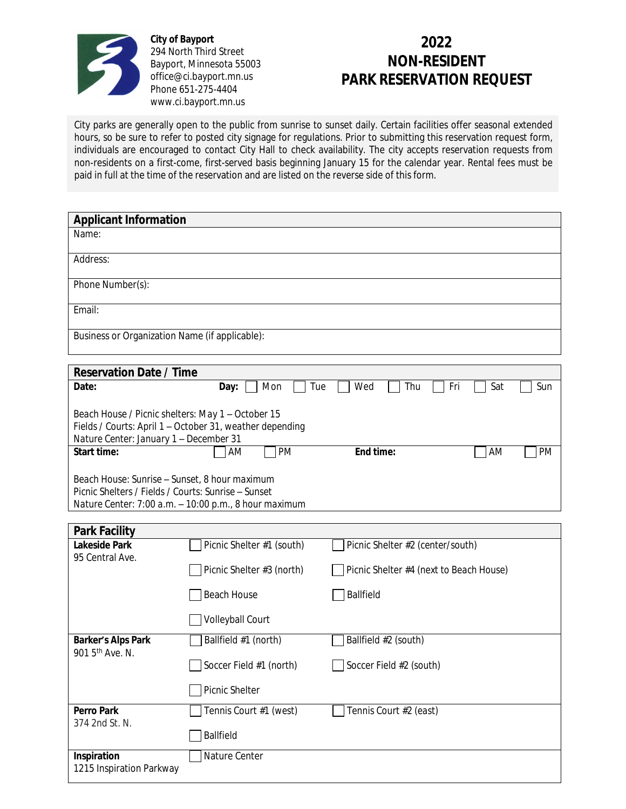

**City of Bayport** 294 North Third Street Bayport, Minnesota 55003 office@ci.bayport.mn.us Phone 651-275-4404 www.ci.bayport.mn.us

## **2022 NON-RESIDENT PARK RESERVATION REQUEST**

City parks are generally open to the public from sunrise to sunset daily. Certain facilities offer seasonal extended hours, so be sure to refer to posted city signage for regulations. Prior to submitting this reservation request form, individuals are encouraged to contact City Hall to check availability. The city accepts reservation requests from non-residents on a first-come, first-served basis beginning January 15 for the calendar year. Rental fees must be paid in full at the time of the reservation and are listed on the reverse side of this form.

| <b>Applicant Information</b>                                                                                                                                  |                           |                                         |                 |  |  |  |
|---------------------------------------------------------------------------------------------------------------------------------------------------------------|---------------------------|-----------------------------------------|-----------------|--|--|--|
| Name:                                                                                                                                                         |                           |                                         |                 |  |  |  |
| Address:                                                                                                                                                      |                           |                                         |                 |  |  |  |
| Phone Number(s):                                                                                                                                              |                           |                                         |                 |  |  |  |
| Email:                                                                                                                                                        |                           |                                         |                 |  |  |  |
| Business or Organization Name (if applicable):                                                                                                                |                           |                                         |                 |  |  |  |
| <b>Reservation Date / Time</b>                                                                                                                                |                           |                                         |                 |  |  |  |
| Date:                                                                                                                                                         | Mon<br>Tue<br>Day:        | Wed<br>Thu<br>Fri                       | Sat<br>Sun      |  |  |  |
| Beach House / Picnic shelters: May 1 - October 15<br>Fields / Courts: April 1 - October 31, weather depending<br>Nature Center: January 1 - December 31       |                           |                                         |                 |  |  |  |
| <b>Start time:</b>                                                                                                                                            | PM<br>AM                  | End time:                               | AM<br><b>PM</b> |  |  |  |
| Beach House: Sunrise - Sunset, 8 hour maximum<br>Picnic Shelters / Fields / Courts: Sunrise – Sunset<br>Nature Center: 7:00 a.m. - 10:00 p.m., 8 hour maximum |                           |                                         |                 |  |  |  |
| <b>Park Facility</b>                                                                                                                                          |                           |                                         |                 |  |  |  |
| <b>Lakeside Park</b>                                                                                                                                          | Picnic Shelter #1 (south) | Picnic Shelter #2 (center/south)        |                 |  |  |  |
| 95 Central Ave.                                                                                                                                               | Picnic Shelter #3 (north) | Picnic Shelter #4 (next to Beach House) |                 |  |  |  |
|                                                                                                                                                               | <b>Beach House</b>        | Ballfield                               |                 |  |  |  |
|                                                                                                                                                               | Volleyball Court          |                                         |                 |  |  |  |
| <b>Barker's Alps Park</b><br>901 5 <sup>th</sup> Ave. N.                                                                                                      | Ballfield #1 (north)      | Ballfield #2 (south)                    |                 |  |  |  |
|                                                                                                                                                               | Soccer Field #1 (north)   | Soccer Field #2 (south)                 |                 |  |  |  |
|                                                                                                                                                               | Picnic Shelter            |                                         |                 |  |  |  |
| <b>Perro Park</b><br>374 2nd St. N.                                                                                                                           | Tennis Court #1 (west)    | Tennis Court #2 (east)                  |                 |  |  |  |
|                                                                                                                                                               | Ballfield                 |                                         |                 |  |  |  |
| Inspiration<br>1215 Inspiration Parkway                                                                                                                       | Nature Center             |                                         |                 |  |  |  |